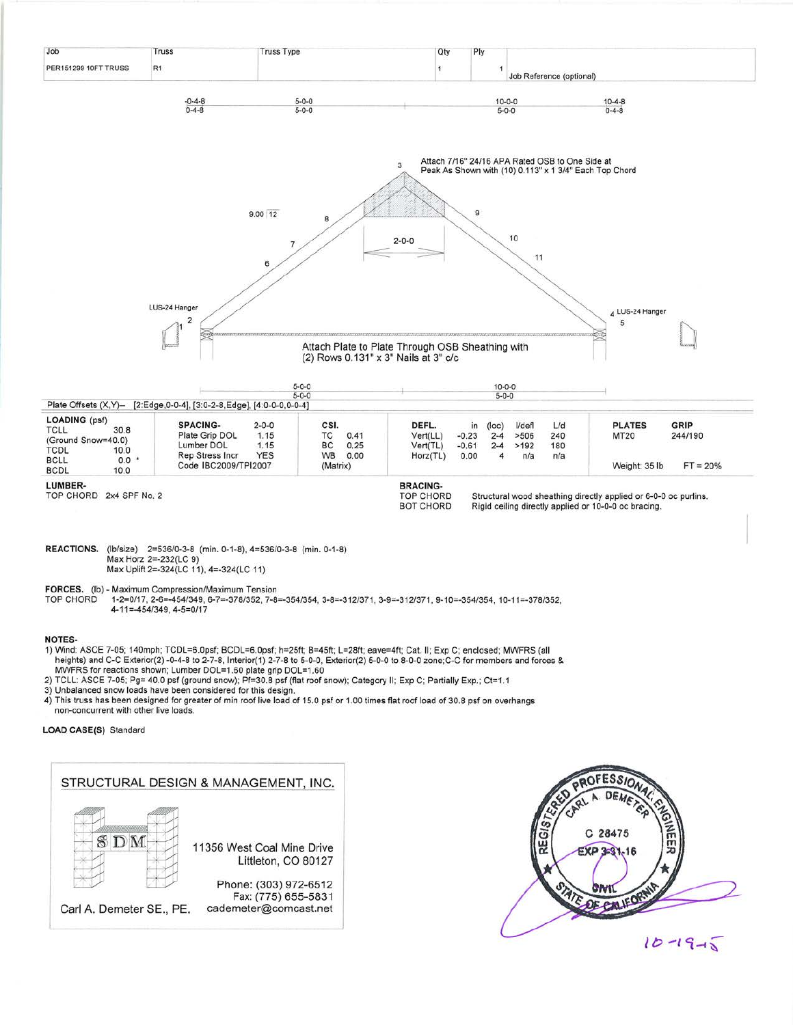

## **NOTES-**

- 1) Wind: ASCE 7-05; 140mph; TCDL=6.0psf; BCDL=6.0psf; h=25ft; B=45ft; L=28ft; eave=4ft; Cat. II; Exp C; enclosed; MWFRS (all heights) and C-C Exterior(2) -0-4-8 to 2-7-8, Interior(1) 2-7-8 to 5-0-0, Exterior(2) 5-0-0 to 8-0-0 zone; C-C for members and forces & MWFRS for reactions shown; Lumber DOL=1.60 plate grip DOL=1.60
- 2) TCLL: ASCE 7-05; Pg= 40.0 psf (ground snow); Pf=30.8 psf (flat roof snow); Category II; Exp C; Partially Exp.; Ct=1.1
- 3) Unbalanced snow loads have been considered for this design.
- 4) This truss has been designed for greater of min roof live load of 15.0 psf or 1.00 times flat roof load of 30.8 psf on overhangs non-concurrent with other live loads.

## LOAD CASE(S) Standard

## STRUCTURAL DESIGN & MANAGEMENT, INC. SDM 11356 West Coal Mine Drive Littleton, CO 80127 Phone: (303) 972-6512 Fax: (775) 655-5831 Carl A. Demeter SE., PE. cademeter@comcast.net